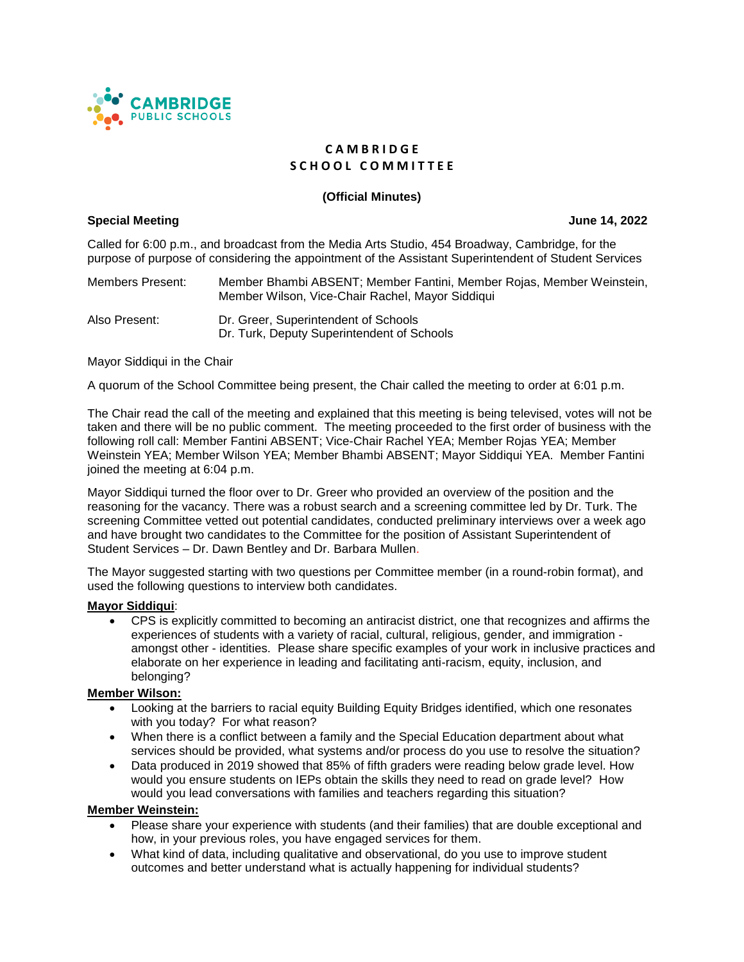

# **C A M B R I D G E S C H O O L C O M M I T T E E**

# **(Official Minutes)**

# **Special Meeting June 14, 2022**

Called for 6:00 p.m., and broadcast from the Media Arts Studio, 454 Broadway, Cambridge, for the purpose of purpose of considering the appointment of the Assistant Superintendent of Student Services

Members Present: Member Bhambi ABSENT; Member Fantini, Member Rojas, Member Weinstein, Member Wilson, Vice-Chair Rachel, Mayor Siddiqui

Also Present: Dr. Greer, Superintendent of Schools Dr. Turk, Deputy Superintendent of Schools

Mayor Siddiqui in the Chair

A quorum of the School Committee being present, the Chair called the meeting to order at 6:01 p.m.

The Chair read the call of the meeting and explained that this meeting is being televised, votes will not be taken and there will be no public comment. The meeting proceeded to the first order of business with the following roll call: Member Fantini ABSENT; Vice-Chair Rachel YEA; Member Rojas YEA; Member Weinstein YEA; Member Wilson YEA; Member Bhambi ABSENT; Mayor Siddiqui YEA. Member Fantini joined the meeting at 6:04 p.m.

Mayor Siddiqui turned the floor over to Dr. Greer who provided an overview of the position and the reasoning for the vacancy. There was a robust search and a screening committee led by Dr. Turk. The screening Committee vetted out potential candidates, conducted preliminary interviews over a week ago and have brought two candidates to the Committee for the position of Assistant Superintendent of Student Services – Dr. Dawn Bentley and Dr. Barbara Mullen.

The Mayor suggested starting with two questions per Committee member (in a round-robin format), and used the following questions to interview both candidates.

### **Mayor Siddiqui**:

• CPS is explicitly committed to becoming an antiracist district, one that recognizes and affirms the experiences of students with a variety of racial, cultural, religious, gender, and immigration amongst other - identities. Please share specific examples of your work in inclusive practices and elaborate on her experience in leading and facilitating anti-racism, equity, inclusion, and belonging?

### **Member Wilson:**

- Looking at the barriers to racial equity Building Equity Bridges identified, which one resonates with you today? For what reason?
- When there is a conflict between a family and the Special Education department about what services should be provided, what systems and/or process do you use to resolve the situation?
- Data produced in 2019 showed that 85% of fifth graders were reading below grade level. How would you ensure students on IEPs obtain the skills they need to read on grade level? How would you lead conversations with families and teachers regarding this situation?

### **Member Weinstein:**

- Please share your experience with students (and their families) that are double exceptional and how, in your previous roles, you have engaged services for them.
- What kind of data, including qualitative and observational, do you use to improve student outcomes and better understand what is actually happening for individual students?